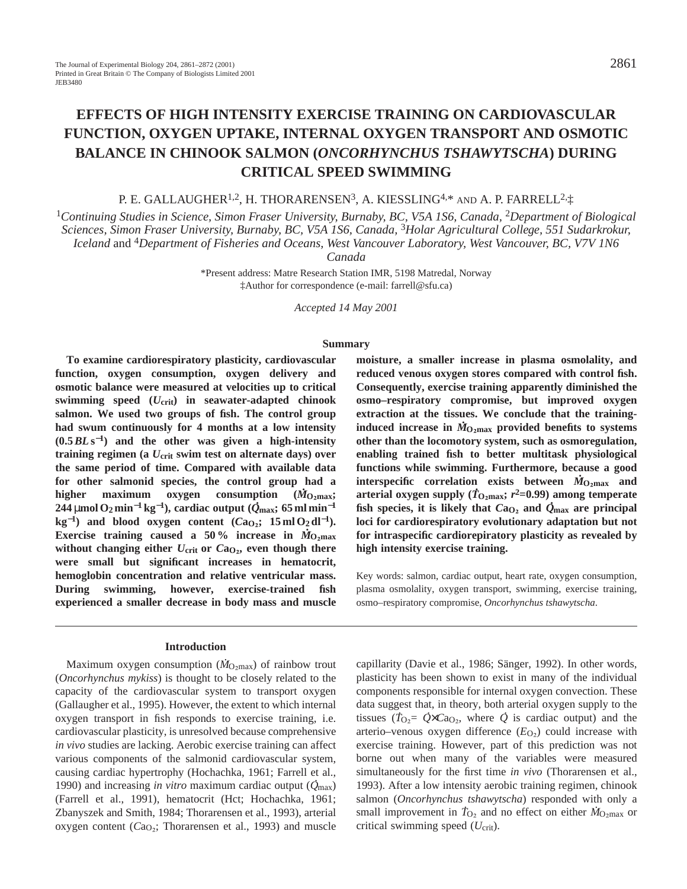# **EFFECTS OF HIGH INTENSITY EXERCISE TRAINING ON CARDIOVASCULAR FUNCTION, OXYGEN UPTAKE, INTERNAL OXYGEN TRANSPORT AND OSMOTIC BALANCE IN CHINOOK SALMON (***ONCORHYNCHUS TSHAWYTSCHA***) DURING CRITICAL SPEED SWIMMING**

# P. E. GALLAUGHER<sup>1,2</sup>, H. THORARENSEN<sup>3</sup>, A. KIESSLING<sup>4,\*</sup> AND A. P. FARRELL<sup>2,</sup>  $\ddagger$

<sup>1</sup>*Continuing Studies in Science, Simon Fraser University, Burnaby, BC, V5A 1S6, Canada,* <sup>2</sup>*Department of Biological Sciences, Simon Fraser University, Burnaby, BC, V5A 1S6, Canada,* <sup>3</sup>*Holar Agricultural College, 551 Sudarkrokur, Iceland* and 4*Department of Fisheries and Oceans, West Vancouver Laboratory, West Vancouver, BC, V7V 1N6*

*Canada*

\*Present address: Matre Research Station IMR, 5198 Matredal, Norway ‡Author for correspondence (e-mail: farrell@sfu.ca)

*Accepted 14 May 2001* 

#### **Summary**

**To examine cardiorespiratory plasticity, cardiovascular function, oxygen consumption, oxygen delivery and osmotic balance were measured at velocities up to critical swimming speed (***U***crit) in seawater-adapted chinook salmon. We used two groups of fish. The control group had swum continuously for 4 months at a low intensity (0.5***BL***s**<sup>−</sup>**1) and the other was given a high-intensity training regimen (a** *U***crit swim test on alternate days) over the same period of time. Compared with available data for other salmonid species, the control group had a . higher maximum oxygen consumption (***M* **.**  $(\dot{M}_{\rm O2}$ max; **244** µ**mol O2 min**−**<sup>1</sup> kg**<sup>−</sup>**1), cardiac output (***Q* **max; 65 ml min**−**<sup>1</sup> kg**<sup>−1</sup>) and blood oxygen content ( $Ca<sub>O2</sub>$ ; 15 ml O<sub>2</sub> dl<sup>−1</sup>). **Exercise training caused a 50% increase in**  $\dot{M}_{\text{O}_2\text{max}}$ without changing either  $U_{\text{crit}}$  or  $Ca_{O_2}$ , even though there **were small but significant increases in hematocrit, hemoglobin concentration and relative ventricular mass. During swimming, however, exercise-trained fish experienced a smaller decrease in body mass and muscle**

# **Introduction**

Maximum oxygen consumption ( $\dot{M}_{\text{O}_2\text{max}}$ ) of rainbow trout (*Oncorhynchus mykiss*) is thought to be closely related to the capacity of the cardiovascular system to transport oxygen (Gallaugher et al., 1995). However, the extent to which internal oxygen transport in fish responds to exercise training, i.e. cardiovascular plasticity, is unresolved because comprehensive *in vivo* studies are lacking. Aerobic exercise training can affect various components of the salmonid cardiovascular system, causing cardiac hypertrophy (Hochachka, 1961; Farrell et al., . 1990) and increasing *in vitro* maximum cardiac output (*Q* max) (Farrell et al., 1991), hematocrit (Hct; Hochachka, 1961; Zbanyszek and Smith, 1984; Thorarensen et al., 1993), arterial oxygen content ( $Ca<sub>O2</sub>$ ; Thorarensen et al., 1993) and muscle **moisture, a smaller increase in plasma osmolality, and reduced venous oxygen stores compared with control fish. Consequently, exercise training apparently diminished the osmo–respiratory compromise, but improved oxygen extraction at the tissues. We conclude that the training-. induced increase in**  $\dot{M}_{\rm O_2max}$  **provided benefits to systems other than the locomotory system, such as osmoregulation, enabling trained fish to better multitask physiological functions while swimming. Furthermore, because a good . interspecific correlation exists between**  $\dot{M}_{\text{O}_2 \text{max}}$  **and arterial oxygen supply** ( $\dot{T}_{\text{O}_2\text{max}}$ ;  $r^2$ =0.99) among temperate fish species, it is likely that  $Ca_{O_2}$  and  $\dot{Q}_{\text{max}}$  are principal **loci for cardiorespiratory evolutionary adaptation but not for intraspecific cardiorepiratory plasticity as revealed by high intensity exercise training.**

Key words: salmon, cardiac output, heart rate, oxygen consumption, plasma osmolality, oxygen transport, swimming, exercise training, osmo–respiratory compromise, *Oncorhynchus tshawytscha*.

capillarity (Davie et al., 1986; Sänger, 1992). In other words, plasticity has been shown to exist in many of the individual components responsible for internal oxygen convection. These data suggest that, in theory, both arterial oxygen supply to the . . tissues ( $T_{\text{O}_2} = \dot{Q} \times \text{CaO}_2$ , where  $\dot{Q}$  is cardiac output) and the arterio–venous oxygen difference  $(E<sub>O<sub>2</sub></sub>)$  could increase with exercise training. However, part of this prediction was not borne out when many of the variables were measured simultaneously for the first time *in vivo* (Thorarensen et al., 1993). After a low intensity aerobic training regimen, chinook salmon (*Oncorhynchus tshawytscha*) responded with only a small improvement in  $\dot{T}_{\text{O}_2}$  and no effect on either  $\dot{M}_{\text{O}_2\text{max}}$  or critical swimming speed (*U*crit).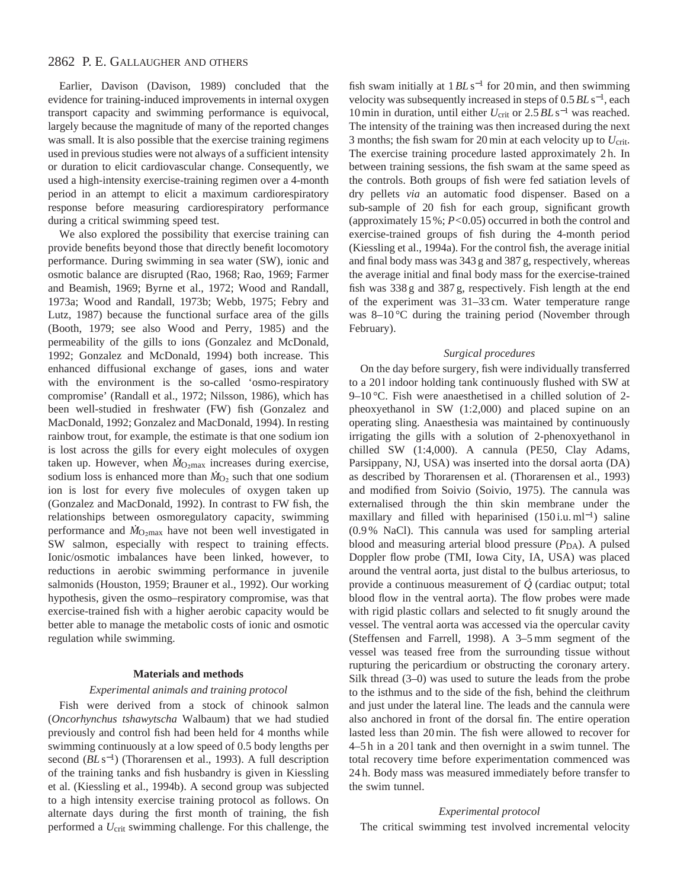Earlier, Davison (Davison, 1989) concluded that the evidence for training-induced improvements in internal oxygen transport capacity and swimming performance is equivocal, largely because the magnitude of many of the reported changes was small. It is also possible that the exercise training regimens used in previous studies were not always of a sufficient intensity or duration to elicit cardiovascular change. Consequently, we used a high-intensity exercise-training regimen over a 4-month period in an attempt to elicit a maximum cardiorespiratory response before measuring cardiorespiratory performance during a critical swimming speed test.

We also explored the possibility that exercise training can provide benefits beyond those that directly benefit locomotory performance. During swimming in sea water (SW), ionic and osmotic balance are disrupted (Rao, 1968; Rao, 1969; Farmer and Beamish, 1969; Byrne et al., 1972; Wood and Randall, 1973a; Wood and Randall, 1973b; Webb, 1975; Febry and Lutz, 1987) because the functional surface area of the gills (Booth, 1979; see also Wood and Perry, 1985) and the permeability of the gills to ions (Gonzalez and McDonald, 1992; Gonzalez and McDonald, 1994) both increase. This enhanced diffusional exchange of gases, ions and water with the environment is the so-called 'osmo-respiratory compromise' (Randall et al., 1972; Nilsson, 1986), which has been well-studied in freshwater (FW) fish (Gonzalez and MacDonald, 1992; Gonzalez and MacDonald, 1994). In resting rainbow trout, for example, the estimate is that one sodium ion is lost across the gills for every eight molecules of oxygen . taken up. However, when *M*<sub>O2max</sub> increases during exercise, sodium loss is enhanced more than  $M_{O_2}$  such that one sodium ion is lost for every five molecules of oxygen taken up (Gonzalez and MacDonald, 1992). In contrast to FW fish, the relationships between osmoregulatory capacity, swimming . performance and  $\dot{M}_{\text{O}_2\text{max}}$  have not been well investigated in SW salmon, especially with respect to training effects. Ionic/osmotic imbalances have been linked, however, to reductions in aerobic swimming performance in juvenile salmonids (Houston, 1959; Brauner et al., 1992). Our working hypothesis, given the osmo–respiratory compromise, was that exercise-trained fish with a higher aerobic capacity would be better able to manage the metabolic costs of ionic and osmotic regulation while swimming.

#### **Materials and methods**

#### *Experimental animals and training protocol*

Fish were derived from a stock of chinook salmon (*Oncorhynchus tshawytscha* Walbaum) that we had studied previously and control fish had been held for 4 months while swimming continuously at a low speed of 0.5 body lengths per second (*BL* s<sup>−1</sup>) (Thorarensen et al., 1993). A full description of the training tanks and fish husbandry is given in Kiessling et al. (Kiessling et al., 1994b). A second group was subjected to a high intensity exercise training protocol as follows. On alternate days during the first month of training, the fish performed a *U*crit swimming challenge. For this challenge, the fish swam initially at 1*BL* s−<sup>1</sup> for 20 min, and then swimming velocity was subsequently increased in steps of 0.5*BL* s<sup>−</sup>1, each 10 min in duration, until either *U*crit or 2.5*BL* s−<sup>1</sup> was reached. The intensity of the training was then increased during the next 3 months; the fish swam for 20 min at each velocity up to *U*crit. The exercise training procedure lasted approximately 2 h. In between training sessions, the fish swam at the same speed as the controls. Both groups of fish were fed satiation levels of dry pellets *via* an automatic food dispenser. Based on a sub-sample of 20 fish for each group, significant growth (approximately 15 %; *P<*0.05) occurred in both the control and exercise-trained groups of fish during the 4-month period (Kiessling et al., 1994a). For the control fish, the average initial and final body mass was 343 g and 387 g, respectively, whereas the average initial and final body mass for the exercise-trained fish was 338 g and 387 g, respectively. Fish length at the end of the experiment was 31–33 cm. Water temperature range was 8-10 °C during the training period (November through February).

### *Surgical procedures*

On the day before surgery, fish were individually transferred to a 201 indoor holding tank continuously flushed with SW at 9–10 °C. Fish were anaesthetised in a chilled solution of 2 pheoxyethanol in SW (1:2,000) and placed supine on an operating sling. Anaesthesia was maintained by continuously irrigating the gills with a solution of 2-phenoxyethanol in chilled SW (1:4,000). A cannula (PE50, Clay Adams, Parsippany, NJ, USA) was inserted into the dorsal aorta (DA) as described by Thorarensen et al. (Thorarensen et al., 1993) and modified from Soivio (Soivio, 1975). The cannula was externalised through the thin skin membrane under the maxillary and filled with heparinised (150 i.u. ml<sup>-1</sup>) saline (0.9 % NaCl). This cannula was used for sampling arterial blood and measuring arterial blood pressure  $(P_{DA})$ . A pulsed Doppler flow probe (TMI, Iowa City, IA, USA) was placed around the ventral aorta, just distal to the bulbus arteriosus, to . provide a continuous measurement of *Q* (cardiac output; total blood flow in the ventral aorta). The flow probes were made with rigid plastic collars and selected to fit snugly around the vessel. The ventral aorta was accessed via the opercular cavity (Steffensen and Farrell, 1998). A 3–5 mm segment of the vessel was teased free from the surrounding tissue without rupturing the pericardium or obstructing the coronary artery. Silk thread (3–0) was used to suture the leads from the probe to the isthmus and to the side of the fish, behind the cleithrum and just under the lateral line. The leads and the cannula were also anchored in front of the dorsal fin. The entire operation lasted less than 20 min. The fish were allowed to recover for 4–5h in a 201 tank and then overnight in a swim tunnel. The total recovery time before experimentation commenced was 24 h. Body mass was measured immediately before transfer to the swim tunnel.

#### *Experimental protocol*

The critical swimming test involved incremental velocity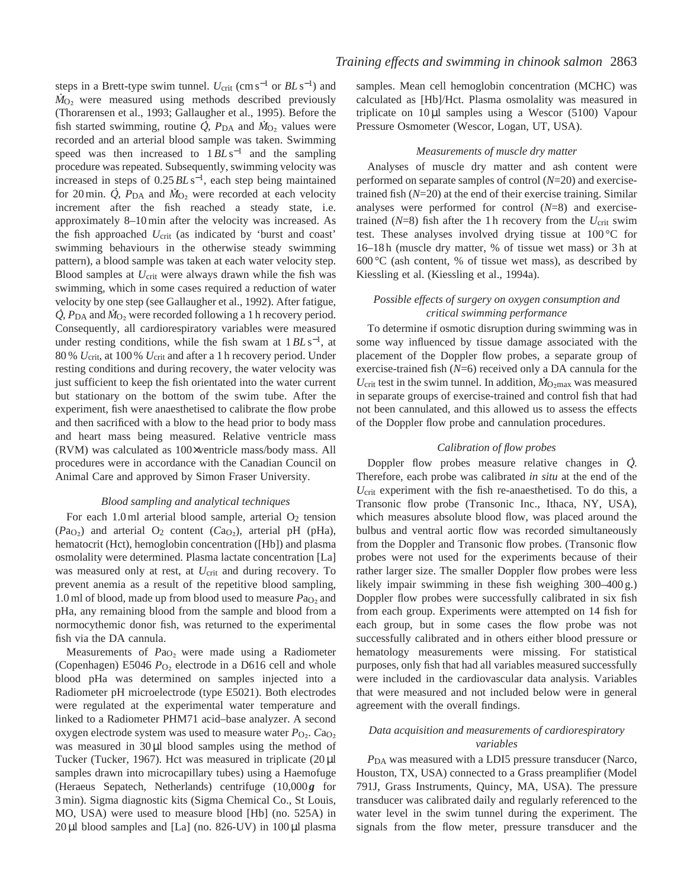steps in a Brett-type swim tunnel. *U*<sub>crit</sub> (cm s<sup>−1</sup> or *BL* s<sup>−1</sup>) and  $\dot{M}_{\text{O}_2}$  were measured using methods described previously (Thorarensen et al., 1993; Gallaugher et al., 1995). Before the . . fish started swimming, routine  $\overrightarrow{Q}$ ,  $P_{DA}$  and  $\dot{M}_{O_2}$  values were recorded and an arterial blood sample was taken. Swimming speed was then increased to 1*BL* s<sup>−1</sup> and the sampling procedure was repeated. Subsequently, swimming velocity was increased in steps of  $0.25 B L s^{-1}$ , each step being maintained for 20 min.  $\dot{Q}$ ,  $P_{\text{DA}}$  and  $\dot{M}_{\text{O}_2}$  were recorded at each velocity increment after the fish reached a steady state, i.e. approximately 8–10 min after the velocity was increased. As the fish approached  $U_{\text{crit}}$  (as indicated by 'burst and coast' swimming behaviours in the otherwise steady swimming pattern), a blood sample was taken at each water velocity step. Blood samples at *U*<sub>crit</sub> were always drawn while the fish was swimming, which in some cases required a reduction of water velocity by one step (see Gallaugher et al., 1992). After fatigue, . .  $\dot{Q}$ ,  $P_{\text{DA}}$  and  $\dot{M}_{\text{O}_2}$  were recorded following a 1 h recovery period. Consequently, all cardiorespiratory variables were measured under resting conditions, while the fish swam at 1*BL* s<sup>−</sup>1, at 80 % *U*crit, at 100 % *U*crit and after a 1 h recovery period. Under resting conditions and during recovery, the water velocity was just sufficient to keep the fish orientated into the water current but stationary on the bottom of the swim tube. After the experiment, fish were anaesthetised to calibrate the flow probe and then sacrificed with a blow to the head prior to body mass and heart mass being measured. Relative ventricle mass (RVM) was calculated as 100×ventricle mass/body mass. All procedures were in accordance with the Canadian Council on Animal Care and approved by Simon Fraser University.

### *Blood sampling and analytical techniques*

For each  $1.0 \text{ ml}$  arterial blood sample, arterial  $O_2$  tension (*Pa*<sub>O2</sub>) and arterial O<sub>2</sub> content (*Ca*<sub>O2</sub>), arterial pH (pHa), hematocrit (Hct), hemoglobin concentration ([Hb]) and plasma osmolality were determined. Plasma lactate concentration [La] was measured only at rest, at *U*<sub>crit</sub> and during recovery. To prevent anemia as a result of the repetitive blood sampling, 1.0 ml of blood, made up from blood used to measure *P*a<sub>O2</sub> and pHa, any remaining blood from the sample and blood from a normocythemic donor fish, was returned to the experimental fish via the DA cannula.

Measurements of  $Pa<sub>O<sub>2</sub></sub>$  were made using a Radiometer (Copenhagen) E5046  $P_{O_2}$  electrode in a D616 cell and whole blood pHa was determined on samples injected into a Radiometer pH microelectrode (type E5021). Both electrodes were regulated at the experimental water temperature and linked to a Radiometer PHM71 acid–base analyzer. A second oxygen electrode system was used to measure water  $P_{\text{O}_2}$ .  $Ca_{\text{O}_2}$ was measured in  $30 \mu l$  blood samples using the method of Tucker (Tucker, 1967). Hct was measured in triplicate (20 µl samples drawn into microcapillary tubes) using a Haemofuge (Heraeus Sepatech, Netherlands) centrifuge (10,000g for 3 min). Sigma diagnostic kits (Sigma Chemical Co., St Louis, MO, USA) were used to measure blood [Hb] (no. 525A) in  $20 \mu$ l blood samples and [La] (no. 826-UV) in  $100 \mu$ l plasma

samples. Mean cell hemoglobin concentration (MCHC) was calculated as [Hb]/Hct. Plasma osmolality was measured in triplicate on 10 µl samples using a Wescor (5100) Vapour Pressure Osmometer (Wescor, Logan, UT, USA).

#### *Measurements of muscle dry matter*

Analyses of muscle dry matter and ash content were performed on separate samples of control (*N*=20) and exercisetrained fish (*N*=20) at the end of their exercise training. Similar analyses were performed for control (*N*=8) and exercisetrained  $(N=8)$  fish after the 1 h recovery from the  $U_{\text{crit}}$  swim test. These analyses involved drying tissue at 100 °C for 16–18 h (muscle dry matter, % of tissue wet mass) or 3 h at  $600\degree$ C (ash content, % of tissue wet mass), as described by Kiessling et al. (Kiessling et al., 1994a).

## *Possible effects of surgery on oxygen consumption and critical swimming performance*

To determine if osmotic disruption during swimming was in some way influenced by tissue damage associated with the placement of the Doppler flow probes, a separate group of exercise-trained fish (*N*=6) received only a DA cannula for the  $U_{\text{crit}}$  test in the swim tunnel. In addition,  $\dot{M}_{\text{O}_2\text{max}}$  was measured in separate groups of exercise-trained and control fish that had not been cannulated, and this allowed us to assess the effects of the Doppler flow probe and cannulation procedures.

#### *Calibration of flow probes*

Doppler flow probes measure relative changes in *Q* . . Therefore, each probe was calibrated *in situ* at the end of the *U*crit experiment with the fish re-anaesthetised. To do this, a Transonic flow probe (Transonic Inc., Ithaca, NY, USA), which measures absolute blood flow, was placed around the bulbus and ventral aortic flow was recorded simultaneously from the Doppler and Transonic flow probes. (Transonic flow probes were not used for the experiments because of their rather larger size. The smaller Doppler flow probes were less likely impair swimming in these fish weighing 300–400 g.) Doppler flow probes were successfully calibrated in six fish from each group. Experiments were attempted on 14 fish for each group, but in some cases the flow probe was not successfully calibrated and in others either blood pressure or hematology measurements were missing. For statistical purposes, only fish that had all variables measured successfully were included in the cardiovascular data analysis. Variables that were measured and not included below were in general agreement with the overall findings.

## *Data acquisition and measurements of cardiorespiratory variables*

*P*DA was measured with a LDI5 pressure transducer (Narco, Houston, TX, USA) connected to a Grass preamplifier (Model 791J, Grass Instruments, Quincy, MA, USA). The pressure transducer was calibrated daily and regularly referenced to the water level in the swim tunnel during the experiment. The signals from the flow meter, pressure transducer and the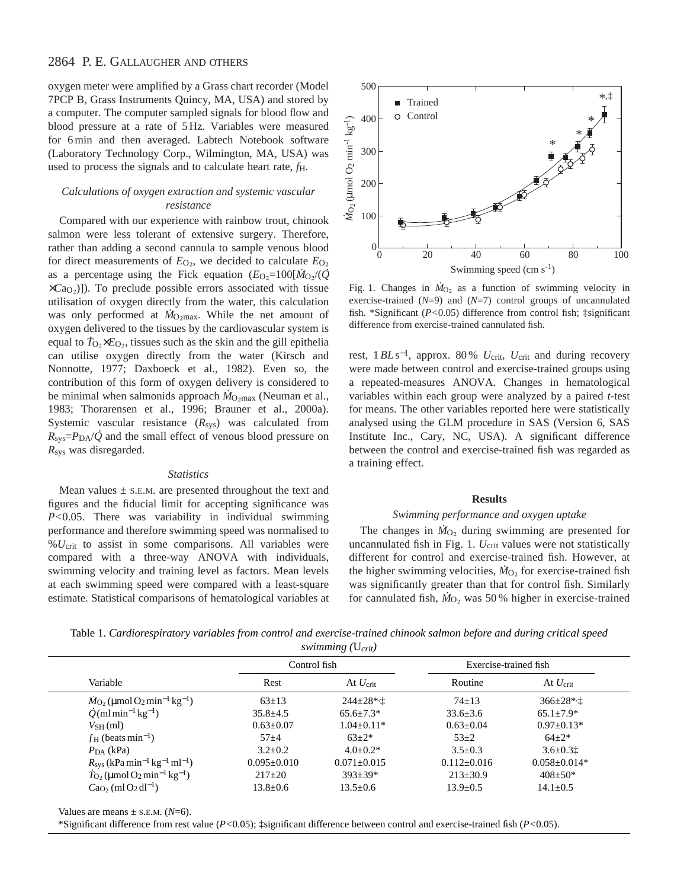oxygen meter were amplified by a Grass chart recorder (Model 7PCP B, Grass Instruments Quincy, MA, USA) and stored by a computer. The computer sampled signals for blood flow and blood pressure at a rate of 5 Hz. Variables were measured for 6 min and then averaged. Labtech Notebook software (Laboratory Technology Corp., Wilmington, MA, USA) was used to process the signals and to calculate heart rate, *f*H.

# *Calculations of oxygen extraction and systemic vascular resistance*

Compared with our experience with rainbow trout, chinook salmon were less tolerant of extensive surgery. Therefore, rather than adding a second cannula to sample venous blood for direct measurements of  $E_{\text{O}_2}$ , we decided to calculate  $E_{\text{O}_2}$ as a percentage using the Fick equation  $(E_{\text{O}_2} = 100[\dot{M}_{\text{O}_2}/(\dot{Q})])$ ×*C*aO∑)]). To preclude possible errors associated with tissue utilisation of oxygen directly from the water, this calculation . was only performed at  $\dot{M}_{\text{O}_2\text{max}}$ . While the net amount of oxygen delivered to the tissues by the cardiovascular system is . equal to  $T_{\text{O}_2} \times E_{\text{O}_2}$ , tissues such as the skin and the gill epithelia can utilise oxygen directly from the water (Kirsch and Nonnotte, 1977; Daxboeck et al., 1982). Even so, the contribution of this form of oxygen delivery is considered to . be minimal when salmonids approach  $\dot{M}_{\text{O}_2\text{max}}$  (Neuman et al., 1983; Thorarensen et al., 1996; Brauner et al., 2000a). Systemic vascular resistance (*R<sub>sys</sub>*) was calculated from  $R_{\rm sys}$ = $P_{\rm DA}/\dot{Q}$  and the small effect of venous blood pressure on *R*sys was disregarded.

#### *Statistics*

Mean values  $\pm$  s.e.m. are presented throughout the text and figures and the fiducial limit for accepting significance was *P<*0.05. There was variability in individual swimming performance and therefore swimming speed was normalised to %*U*crit to assist in some comparisons. All variables were compared with a three-way ANOVA with individuals, swimming velocity and training level as factors. Mean levels at each swimming speed were compared with a least-square estimate. Statistical comparisons of hematological variables at



Fig. 1. Changes in  $\dot{M}_{O_2}$  as a function of swimming velocity in exercise-trained (*N*=9) and (*N*=7) control groups of uncannulated fish. \*Significant (*P<*0.05) difference from control fish; ‡significant difference from exercise-trained cannulated fish.

rest, 1*BL* s<sup>−</sup>1, approx. 80 % *U*crit, *U*crit and during recovery were made between control and exercise-trained groups using a repeated-measures ANOVA. Changes in hematological variables within each group were analyzed by a paired *t*-test for means. The other variables reported here were statistically analysed using the GLM procedure in SAS (Version 6, SAS Institute Inc., Cary, NC, USA). A significant difference between the control and exercise-trained fish was regarded as a training effect.

#### **Results**

#### *Swimming performance and oxygen uptake*

The changes in  $\dot{M}_{\text{O}_2}$  during swimming are presented for uncannulated fish in Fig. 1. *U*<sub>crit</sub> values were not statistically different for control and exercise-trained fish. However, at the higher swimming velocities,  $\dot{M}_{O_2}$  for exercise-trained fish was significantly greater than that for control fish. Similarly for cannulated fish,  $\dot{M}_{\text{O}_2}$  was 50% higher in exercise-trained

Table 1. *Cardiorespiratory variables from control and exercise-trained chinook salmon before and during critical speed swimming (*U*crit)*

|                                                                                  | Control fish    |                   | Exercise-trained fish |                   |
|----------------------------------------------------------------------------------|-----------------|-------------------|-----------------------|-------------------|
| Variable                                                                         | Rest            | At $U_{\rm crit}$ | Routine               | At $U_{\rm crit}$ |
| $\dot{M}_{\text{O}}$ , (µmol O <sub>2</sub> min <sup>-1</sup> kg <sup>-1</sup> ) | $63 \pm 13$     | $244 \pm 28$ *, İ | $74 \pm 13$           | $366 \pm 28$ *, † |
| $\dot{Q}$ (ml min <sup>-1</sup> kg <sup>-1</sup> )                               | $35.8 + 4.5$    | $65.6 \pm 7.3*$   | $33.6 \pm 3.6$        | $65.1 \pm 7.9*$   |
| $V_{SH}(ml)$                                                                     | $0.63 \pm 0.07$ | $1.04 \pm 0.11*$  | $0.63 \pm 0.04$       | $0.97+0.13*$      |
| $f_H$ (beats min <sup>-1</sup> )                                                 | $57 + 4$        | $63+2*$           | $53+2$                | $64 + 2*$         |
| $PDA$ (kPa)                                                                      | $3.2 + 0.2$     | $4.0+0.2*$        | $3.5 \pm 0.3$         | $3.6 \pm 0.31$    |
| $R_{\rm sys}$ (kPa min <sup>-1</sup> kg <sup>-1</sup> ml <sup>-1</sup> )         | $0.095 + 0.010$ | $0.071 \pm 0.015$ | $0.112 \pm 0.016$     | $0.058 + 0.014*$  |
| $\dot{T}_{\rm O}$ , (µmol O <sub>2</sub> min <sup>-1</sup> kg <sup>-1</sup> )    | $217 \pm 20$    | $393 \pm 39*$     | $213 \pm 30.9$        | $408 \pm 50*$     |
| $CaO$ , (ml O <sub>2</sub> dl <sup>-1</sup> )                                    | $13.8 \pm 0.6$  | $13.5 \pm 0.6$    | $13.9 + 0.5$          | $14.1 \pm 0.5$    |

Values are means  $\pm$  s.e.m. ( $N=6$ ).

\*Significant difference from rest value (*P<*0.05); ‡significant difference between control and exercise-trained fish (*P<*0.05).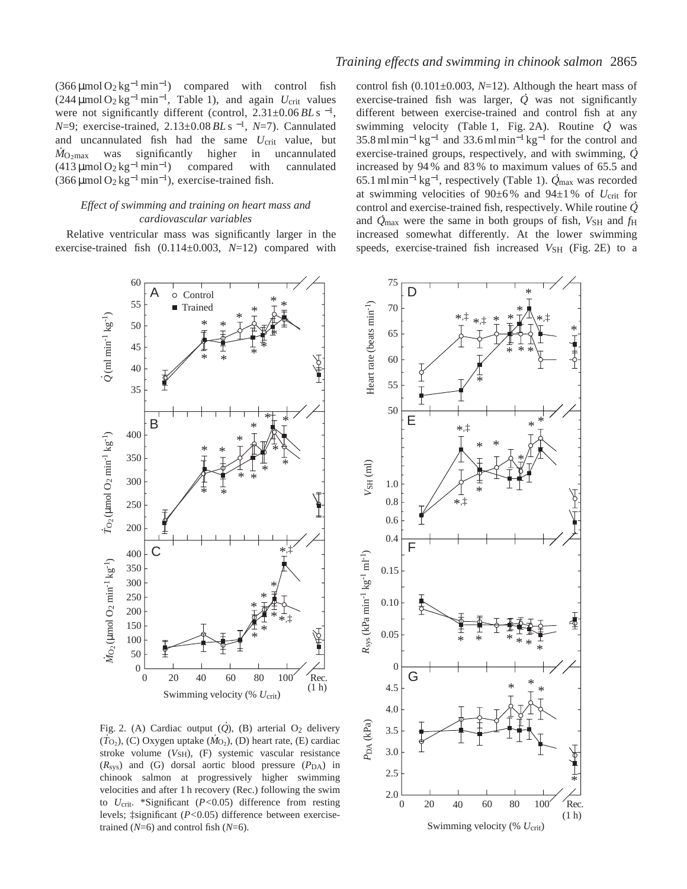$(366 \mu \text{mol} \, \text{O}_2 \, \text{kg}^{-1} \, \text{min}^{-1})$  compared with control fish (244 µmol O2 kg−<sup>1</sup> min<sup>−</sup>1, Table 1), and again *U*crit values were not significantly different (control, 2.31±0.06 *BL* s<sup>-1</sup>, *N*=9; exercise-trained, 2.13±0.08 *BL* s<sup>-1</sup>, *N*=7). Cannulated and uncannulated fish had the same *U*crit value, but  $\dot{M}_{\text{O}_2\text{max}}$  was significantly higher in uncannulated  $(413 \mu \text{mol} \text{O}_2 \text{kg}^{-1} \text{min}^{-1})$  compared with cannulated  $(366 \mu \text{mol O}_2 \text{kg}^{-1} \text{min}^{-1})$ , exercise-trained fish.

### *Effect of swimming and training on heart mass and cardiovascular variables*

Relative ventricular mass was significantly larger in the exercise-trained fish (0.114±0.003, *N*=12) compared with



control fish (0.101±0.003, *N*=12). Although the heart mass of exercise-trained fish was larger,  $\dot{Q}$  was not significantly different between exercise-trained and control fish at any swimming velocity (Table 1, Fig. 2A). Routine *Q* . was  $35.8 \text{ ml min}^{-1} \text{ kg}^{-1}$  and  $33.6 \text{ ml min}^{-1} \text{ kg}^{-1}$  for the control and exercise-trained groups, respectively, and with swimming, *Q* increased by 94% and 83% to maximum values of 65.5 and 65.1 ml min−<sup>1</sup> kg<sup>−</sup>1, respectively (Table 1). *Q* max was recorded at swimming velocities of  $90\pm6\%$  and  $94\pm1\%$  of  $U_{\text{crit}}$  for control and exercise-trained fish, respectively. While routine *Q* . and  $\dot{Q}_{\text{max}}$  were the same in both groups of fish,  $V_{\text{SH}}$  and  $f_{\text{H}}$ increased somewhat differently. At the lower swimming speeds, exercise-trained fish increased  $V_{\text{SH}}$  (Fig. 2E) to a



Fig. 2. (A) Cardiac output  $(Q)$ , (B) arterial O<sub>2</sub> delivery  $(\dot{T}_{\text{O}_2})$ , (C) Oxygen uptake  $(\dot{M}_{\text{O}_2})$ , (D) heart rate, (E) cardiac stroke volume (V<sub>SH</sub>), (F) systemic vascular resistance  $(R<sub>sys</sub>)$  and  $(G)$  dorsal aortic blood pressure  $(P<sub>DA</sub>)$  in chinook salmon at progressively higher swimming velocities and after 1 h recovery (Rec.) following the swim to *U*crit. \*Significant (*P<*0.05) difference from resting levels; ‡significant (*P<*0.05) difference between exercisetrained (*N*=6) and control fish (*N*=6).

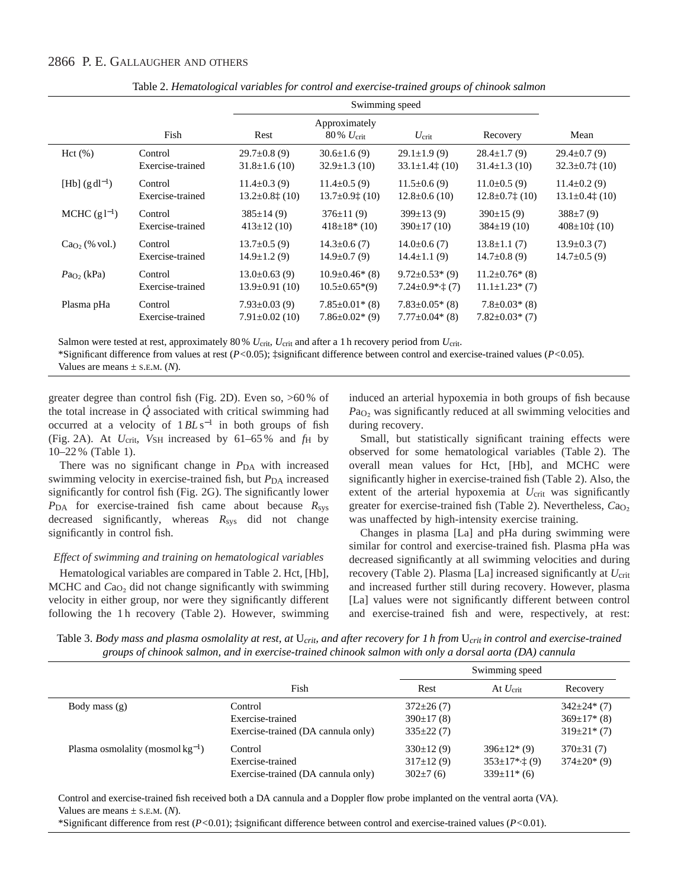|                    |                             | Swimming speed                             |                                                |                                                     |                                               |                                  |
|--------------------|-----------------------------|--------------------------------------------|------------------------------------------------|-----------------------------------------------------|-----------------------------------------------|----------------------------------|
|                    | Fish                        | Rest                                       | Approximately<br>$80\% U_{\rm crit}$           | $U_{\rm crit}$                                      | Recovery                                      | Mean                             |
| Hct(%)             | Control                     | $29.7 \pm 0.8$ (9)                         | $30.6 \pm 1.6(9)$                              | $29.1 \pm 1.9(9)$                                   | $28.4 \pm 1.7(9)$                             | $29.4 \pm 0.7(9)$                |
|                    | Exercise-trained            | $31.8 \pm 1.6(10)$                         | $32.9 \pm 1.3$ (10)                            | $33.1 \pm 1.4$ $\ddagger$ (10)                      | $31.4 \pm 1.3$ (10)                           | $32.3 \pm 0.7$ $\downarrow$ (10) |
| $[Hb] (g dl^{-1})$ | Control                     | $11.4 \pm 0.3(9)$                          | $11.4 \pm 0.5(9)$                              | $11.5 \pm 0.6(9)$                                   | $11.0\pm0.5(9)$                               | $11.4\pm0.2(9)$                  |
|                    | Exercise-trained            | $13.2 \pm 0.8$ $\pm$ (10)                  | $13.7 \pm 0.9$ $\pm$ (10)                      | $12.8 \pm 0.6$ (10)                                 | $12.8 \pm 0.7$ $\pm$ (10)                     | $13.1 \pm 0.4$ $\pm$ (10)        |
| MCHC $(g l^{-1})$  | Control                     | $385 \pm 14(9)$                            | $376 \pm 11(9)$                                | $399 \pm 13(9)$                                     | 390±15(9)                                     | $388\pm7(9)$                     |
|                    | Exercise-trained            | $413 \pm 12(10)$                           | $418\pm18*(10)$                                | $390 \pm 17(10)$                                    | $384\pm19(10)$                                | $408 \pm 10$ <sup>t</sup> (10)   |
| $CaO2$ (% vol.)    | Control                     | $13.7 \pm 0.5(9)$                          | $14.3 \pm 0.6(7)$                              | $14.0\pm0.6(7)$                                     | $13.8 \pm 1.1(7)$                             | $13.9 \pm 0.3(7)$                |
|                    | Exercise-trained            | $14.9 \pm 1.2(9)$                          | $14.9 \pm 0.7(9)$                              | $14.4 \pm 1.1(9)$                                   | $14.7\pm0.8(9)$                               | $14.7 \pm 0.5(9)$                |
| $PaO2$ (kPa)       | Control<br>Exercise-trained | $13.0\pm0.63(9)$<br>$13.9 \pm 0.91(10)$    | $10.9 \pm 0.46^*$ (8)<br>$10.5 \pm 0.65*(9)$   | $9.72 \pm 0.53$ * (9)<br>$7.24 \pm 0.9$ * $\pm$ (7) | $11.2 \pm 0.76$ * (8)<br>$11.1 \pm 1.23$ (7)  |                                  |
| Plasma pHa         | Control<br>Exercise-trained | $7.93 \pm 0.03(9)$<br>$7.91 \pm 0.02$ (10) | $7.85 \pm 0.01^*$ (8)<br>$7.86 \pm 0.02$ * (9) | $7.83 \pm 0.05$ * (8)<br>$7.77 \pm 0.04*$ (8)       | $7.8 \pm 0.03$ * (8)<br>$7.82 \pm 0.03$ * (7) |                                  |

Table 2. *Hematological variables for control and exercise-trained groups of chinook salmon*

Salmon were tested at rest, approximately 80 % *U*crit, *U*crit and after a 1 h recovery period from *U*crit.

\*Significant difference from values at rest (*P<*0.05); ‡significant difference between control and exercise-trained values (*P<*0.05). Values are means  $\pm$  s.e.m. (*N*).

greater degree than control fish (Fig. 2D). Even so, >60 % of the total increase in *Q* associated with critical swimming had occurred at a velocity of 1*BL* s−<sup>1</sup> in both groups of fish (Fig. 2A). At *U*crit, *V*SH increased by 61–65 % and *f*H by 10–22 % (Table 1).

There was no significant change in *P*<sub>DA</sub> with increased swimming velocity in exercise-trained fish, but  $P_{DA}$  increased significantly for control fish (Fig. 2G). The significantly lower *P*DA for exercise-trained fish came about because *R*sys decreased significantly, whereas *R*sys did not change significantly in control fish.

## *Effect of swimming and training on hematological variables*

Hematological variables are compared in Table 2. Hct, [Hb], MCHC and  $Ca<sub>O<sub>2</sub></sub>$  did not change significantly with swimming velocity in either group, nor were they significantly different following the 1h recovery (Table 2). However, swimming induced an arterial hypoxemia in both groups of fish because *Pa*<sub>O2</sub> was significantly reduced at all swimming velocities and during recovery.

Small, but statistically significant training effects were observed for some hematological variables (Table 2). The overall mean values for Hct, [Hb], and MCHC were significantly higher in exercise-trained fish (Table 2). Also, the extent of the arterial hypoxemia at *U*<sub>crit</sub> was significantly greater for exercise-trained fish (Table 2). Nevertheless,  $Ca<sub>O<sub>2</sub></sub>$ was unaffected by high-intensity exercise training.

Changes in plasma [La] and pHa during swimming were similar for control and exercise-trained fish. Plasma pHa was decreased significantly at all swimming velocities and during recovery (Table 2). Plasma [La] increased significantly at *U*crit and increased further still during recovery. However, plasma [La] values were not significantly different between control and exercise-trained fish and were, respectively, at rest:

Table 3. *Body mass and plasma osmolality at rest, at* U*crit, and after recovery for 1 h from* U*crit in control and exercise-trained groups of chinook salmon, and in exercise-trained chinook salmon with only a dorsal aorta (DA) cannula*

|                                       |                                    | Swimming speed |                           |                    |
|---------------------------------------|------------------------------------|----------------|---------------------------|--------------------|
|                                       | Fish                               | Rest           | At $U_{\rm crit}$         | Recovery           |
| Body mass $(g)$                       | Control                            | $372\pm26(7)$  |                           | $342 \pm 24$ (7)   |
|                                       | Exercise-trained                   | $390\pm17(8)$  |                           | $369 \pm 17$ * (8) |
|                                       | Exercise-trained (DA cannula only) | $335\pm22(7)$  |                           | $319\pm21*(7)$     |
| Plasma osmolality (mosmol $kg^{-1}$ ) | Control                            | $330\pm12(9)$  | $396\pm12*(9)$            | $370\pm31(7)$      |
|                                       | Exercise-trained                   | $317\pm12(9)$  | $353 \pm 17$ *, $\pm (9)$ | $374\pm20*(9)$     |
|                                       | Exercise-trained (DA cannula only) | $302\pm7(6)$   | $339\pm11*$ (6)           |                    |

Control and exercise-trained fish received both a DA cannula and a Doppler flow probe implanted on the ventral aorta (VA). Values are means  $\pm$  s.e.m. (*N*).

\*Significant difference from rest (*P<*0.01); ‡significant difference between control and exercise-trained values (*P<*0.01).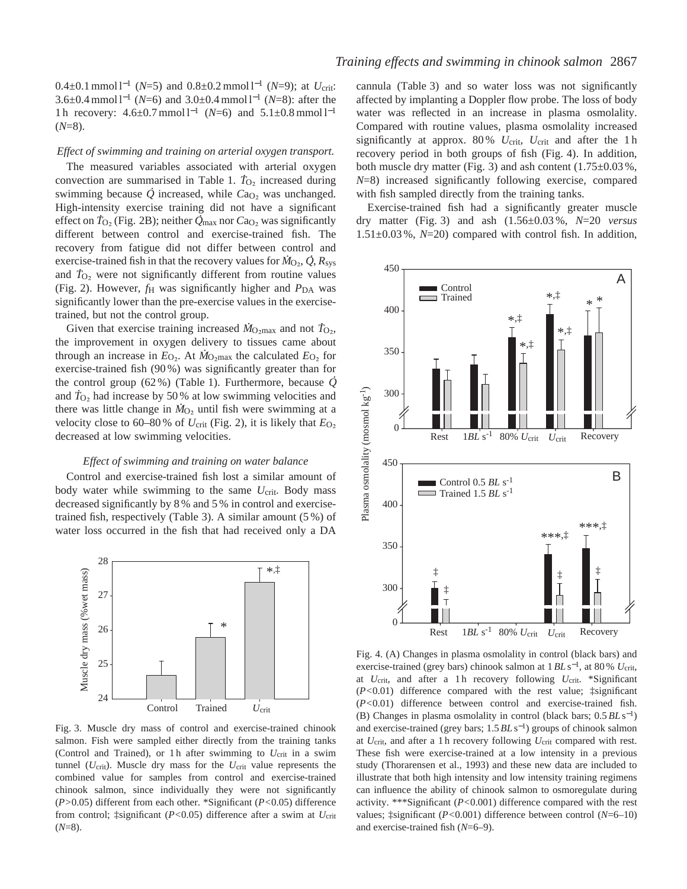0.4±0.1 mmol l−<sup>1</sup> (*N*=5) and 0.8±0.2 mmol l−<sup>1</sup> (*N*=9); at *U*crit: 3.6±0.4 mmol l−<sup>1</sup> (*N*=6) and 3.0±0.4 mmol l−<sup>1</sup> (*N*=8): after the 1 h recovery: 4.6±0.7 mmol l−<sup>1</sup> (*N*=6) and 5.1±0.8 mmol l−<sup>1</sup>  $(N=8)$ .

### *Effect of swimming and training on arterial oxygen transport.*

The measured variables associated with arterial oxygen . convection are summarised in Table 1.  $T_{\text{O}_2}$  increased during swimming because *Q* increased, while *C*a<sub>O2</sub> was unchanged. High-intensity exercise training did not have a significant effect on  $T_{\text{O}_2}$  (Fig. 2B); neither  $\overline{\dot{Q}}_{\text{max}}$  nor  $C_{\text{O}_2}$  was significantly different between control and exercise-trained fish. The recovery from fatigue did not differ between control and exercise-trained fish in that the recovery values for  $M_{\text{O}_2}$ ,  $\dot{Q}$ ,  $R_{\text{sys}}$ and  $T_{\text{O}_2}$  were not significantly different from routine values (Fig. 2). However,  $f_H$  was significantly higher and  $P_{DA}$  was significantly lower than the pre-exercise values in the exercisetrained, but not the control group.

Given that exercise training increased  $\dot{M}_{\text{O}_2\text{max}}$  and not  $T_{\text{O}_2}$ , the improvement in oxygen delivery to tissues came about . through an increase in  $E_{\text{O}_2}$ . At  $\dot{M}_{\text{O}_2\text{max}}$  the calculated  $E_{\text{O}_2}$  for exercise-trained fish  $(90\%)$  was significantly greater than for the control group (62 %) (Table 1). Furthermore, because *Q* . and  $T_{\text{O}_2}$  had increase by 50 % at low swimming velocities and there was little change in  $\dot{M}_{\text{O}_2}$  until fish were swimming at a velocity close to 60–80% of  $U_{\text{crit}}$  (Fig. 2), it is likely that  $E_{\text{O}_2}$ decreased at low swimming velocities.

#### *Effect of swimming and training on water balance*

Control and exercise-trained fish lost a similar amount of body water while swimming to the same  $U_{\text{crit}}$ . Body mass decreased significantly by 8 % and 5 % in control and exercisetrained fish, respectively (Table 3). A similar amount (5 %) of water loss occurred in the fish that had received only a DA



Fig. 3. Muscle dry mass of control and exercise-trained chinook salmon. Fish were sampled either directly from the training tanks (Control and Trained), or 1h after swimming to  $U_{\text{crit}}$  in a swim tunnel (*U*crit). Muscle dry mass for the *U*crit value represents the combined value for samples from control and exercise-trained chinook salmon, since individually they were not significantly (*P>*0.05) different from each other. \*Significant (*P<*0.05) difference from control; ‡significant (*P<*0.05) difference after a swim at *U*crit (*N*=8).

cannula (Table 3) and so water loss was not significantly affected by implanting a Doppler flow probe. The loss of body water was reflected in an increase in plasma osmolality. Compared with routine values, plasma osmolality increased significantly at approx. 80 % *U*crit, *U*crit and after the 1 h recovery period in both groups of fish (Fig. 4). In addition, both muscle dry matter (Fig. 3) and ash content (1.75±0.03 %, *N*=8) increased significantly following exercise, compared with fish sampled directly from the training tanks.

Exercise-trained fish had a significantly greater muscle dry matter (Fig. 3) and ash (1.56±0.03 %, *N*=20 *versus* 1.51±0.03 %, *N*=20) compared with control fish. In addition,



Fig. 4. (A) Changes in plasma osmolality in control (black bars) and exercise-trained (grey bars) chinook salmon at 1*BL* s<sup>−</sup>1, at 80 % *U*crit, at *U*crit, and after a 1 h recovery following *U*crit. \*Significant (*P<*0.01) difference compared with the rest value; ‡significant (*P<*0.01) difference between control and exercise-trained fish. (B) Changes in plasma osmolality in control (black bars; 0.5*BL* s<sup>−</sup>1) and exercise-trained (grey bars; 1.5*BL* s<sup>−</sup>1) groups of chinook salmon at *U*crit, and after a 1 h recovery following *U*crit compared with rest. These fish were exercise-trained at a low intensity in a previous study (Thorarensen et al., 1993) and these new data are included to illustrate that both high intensity and low intensity training regimens can influence the ability of chinook salmon to osmoregulate during activity. \*\*\*Significant (*P<*0.001) difference compared with the rest values; ‡significant (*P<*0.001) difference between control (*N*=6–10)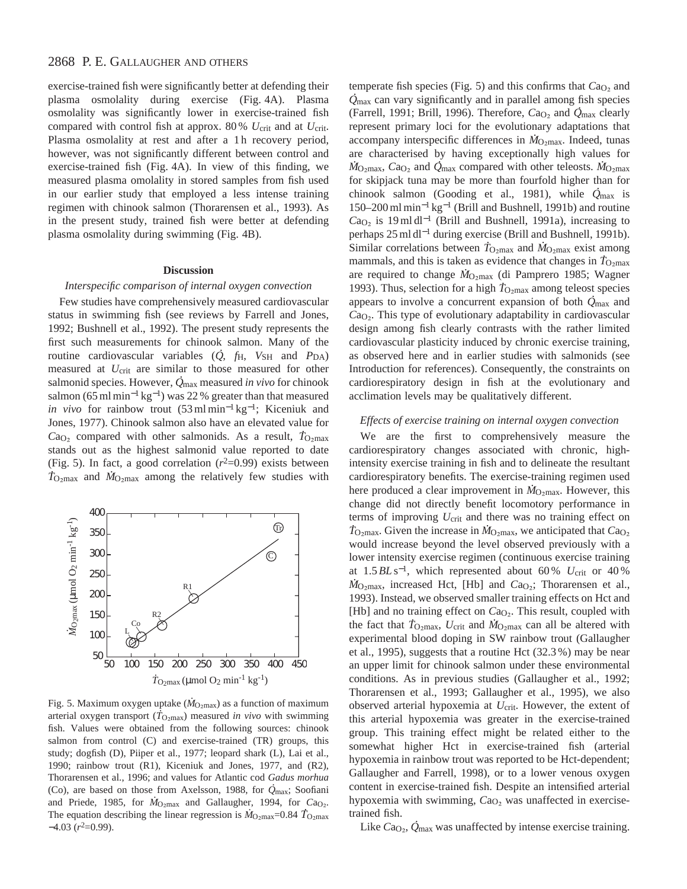exercise-trained fish were significantly better at defending their plasma osmolality during exercise (Fig. 4A). Plasma osmolality was significantly lower in exercise-trained fish compared with control fish at approx. 80 % *U*crit and at *U*crit. Plasma osmolality at rest and after a 1h recovery period, however, was not significantly different between control and exercise-trained fish (Fig. 4A). In view of this finding, we measured plasma omolality in stored samples from fish used in our earlier study that employed a less intense training regimen with chinook salmon (Thorarensen et al., 1993). As in the present study, trained fish were better at defending plasma osmolality during swimming (Fig. 4B).

#### **Discussion**

#### *Interspecific comparison of internal oxygen convection*

Few studies have comprehensively measured cardiovascular status in swimming fish (see reviews by Farrell and Jones, 1992; Bushnell et al., 1992). The present study represents the first such measurements for chinook salmon. Many of the routine cardiovascular variables (*Q*, *f*<sub>H</sub>, *V*<sub>SH</sub> and *P*<sub>DA</sub>) measured at *U*<sub>crit</sub> are similar to those measured for other salmonid species. However, *Q* max measured *in vivo* for chinook salmon (65 ml min<sup>-1</sup> kg<sup>-1</sup>) was 22 % greater than that measured *in vivo* for rainbow trout (53 ml min<sup>-1</sup> kg<sup>-1</sup>; Kiceniuk and Jones, 1977). Chinook salmon also have an elevated value for .  $Ca<sub>O<sub>2</sub></sub>$  compared with other salmonids. As a result,  $T<sub>O<sub>2</sub>max</sub>$ stands out as the highest salmonid value reported to date (Fig. 5). In fact, a good correlation  $(r^2=0.99)$  exists between  $T_{\text{O}_{2} \text{max}}$  and  $\dot{M}_{\text{O}_{2} \text{max}}$  among the relatively few studies with



Fig. 5. Maximum oxygen uptake  $(M_{\text{O}_2 \text{max}})$  as a function of maximum arterial oxygen transport ( $\dot{T}_{\text{O}_2\text{max}}$ ) measured *in vivo* with swimming fish. Values were obtained from the following sources: chinook salmon from control (C) and exercise-trained (TR) groups, this study; dogfish (D), Piiper et al., 1977; leopard shark (L), Lai et al., 1990; rainbow trout (R1), Kiceniuk and Jones, 1977, and (R2), Thorarensen et al., 1996; and values for Atlantic cod *Gadus morhua* . (Co), are based on those from Axelsson, 1988, for *Q* max; Soofiani . and Priede, 1985, for  $\dot{M}_{\text{O}_2 \text{max}}$  and Gallaugher, 1994, for  $Ca_{\text{O}_2}$ . The equation describing the linear regression is  $\dot{M}_{\text{O}_2\text{max}}$ =0.84  $\dot{T}_{\text{O}_2\text{max}}$  $-4.03$  ( $r^2=0.99$ ).

temperate fish species (Fig. 5) and this confirms that  $Ca<sub>O<sub>2</sub></sub>$  and  $\dot{Q}_{\text{max}}$  can vary significantly and in parallel among fish species (Farrell, 1991; Brill, 1996). Therefore, *C*a<sub>O2</sub> and  $\dot{Q}_{\text{max}}$  clearly represent primary loci for the evolutionary adaptations that accompany interspecific differences in *M*<sub>O2max</sub>. Indeed, tunas are characterised by having exceptionally high values for  $\dot{M}_{\text{O}_2\text{max}}$ ,  $Ca_{\text{O}_2}$  and  $\dot{Q}_{\text{max}}$  compared with other teleosts.  $\dot{M}_{\text{O}_2\text{max}}$ for skipjack tuna may be more than fourfold higher than for . chinook salmon (Gooding et al., 1981), while *Q* max is 150–200 ml min−<sup>1</sup> kg−<sup>1</sup> (Brill and Bushnell, 1991b) and routine  $Ca<sub>O<sub>2</sub></sub>$  is 19 ml dl<sup>-1</sup> (Brill and Bushnell, 1991a), increasing to perhaps 25 ml dl<sup>−1</sup> during exercise (Brill and Bushnell, 1991b). Similar correlations between  $T_{\text{O}_2 \text{max}}$  and  $\dot{M}_{\text{O}_2 \text{max}}$  exist among mammals, and this is taken as evidence that changes in  $T_{\text{O}_2\text{max}}$ are required to change *M*<sub>O2max</sub> (di Pamprero 1985; Wagner 1993). Thus, selection for a high  $T_{\text{O}_2\text{max}}$  among teleost species appears to involve a concurrent expansion of both *Q* max and *C*aO∑. This type of evolutionary adaptability in cardiovascular design among fish clearly contrasts with the rather limited cardiovascular plasticity induced by chronic exercise training, as observed here and in earlier studies with salmonids (see Introduction for references). Consequently, the constraints on cardiorespiratory design in fish at the evolutionary and acclimation levels may be qualitatively different.

#### *Effects of exercise training on internal oxygen convection*

We are the first to comprehensively measure the cardiorespiratory changes associated with chronic, highintensity exercise training in fish and to delineate the resultant cardiorespiratory benefits. The exercise-training regimen used . here produced a clear improvement in  $\dot{M}_{\text{O}_2\text{max}}$ . However, this change did not directly benefit locomotory performance in terms of improving *U*<sub>crit</sub> and there was no training effect on  $T_{\text{O}_2\text{max}}$ . Given the increase in  $\dot{M}_{\text{O}_2\text{max}}$ , we anticipated that  $Ca_{\text{O}_2}$ would increase beyond the level observed previously with a lower intensity exercise regimen (continuous exercise training at  $1.5BL$  s<sup>-1</sup>, which represented about 60 %  $U_{\text{crit}}$  or 40 % *M*<sub>O2max</sub>, increased Hct, [Hb] and *C*a<sub>O2</sub>; Thorarensen et al., 1993). Instead, we observed smaller training effects on Hct and [Hb] and no training effect on  $Ca<sub>O<sub>2</sub></sub>$ . This result, coupled with the fact that  $T_{\text{O}_2\text{max}}$ ,  $U_{\text{crit}}$  and  $\dot{M}_{\text{O}_2\text{max}}$  can all be altered with experimental blood doping in SW rainbow trout (Gallaugher et al., 1995), suggests that a routine Hct (32.3 %) may be near an upper limit for chinook salmon under these environmental conditions. As in previous studies (Gallaugher et al., 1992; Thorarensen et al., 1993; Gallaugher et al., 1995), we also observed arterial hypoxemia at *U*<sub>crit</sub>. However, the extent of this arterial hypoxemia was greater in the exercise-trained group. This training effect might be related either to the somewhat higher Hct in exercise-trained fish (arterial hypoxemia in rainbow trout was reported to be Hct-dependent; Gallaugher and Farrell, 1998), or to a lower venous oxygen content in exercise-trained fish. Despite an intensified arterial hypoxemia with swimming, Ca<sub>O2</sub> was unaffected in exercisetrained fish.

Like *C*aO∑, *Q* . max was unaffected by intense exercise training.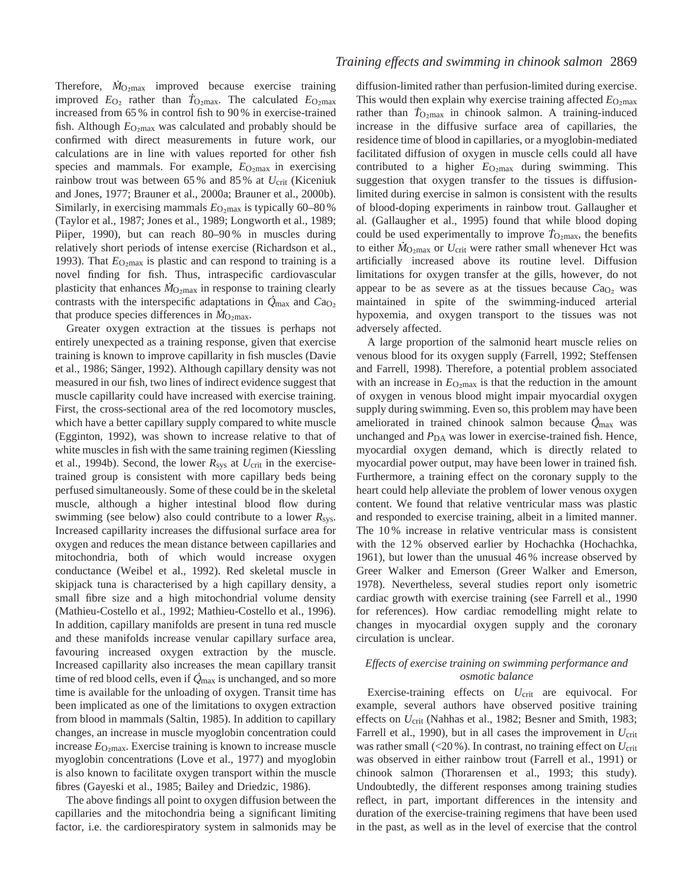Therefore,  $\dot{M}_{\text{O}_2\text{max}}$  improved because exercise training improved  $E_{\text{O}_2}$  rather than  $T_{\text{O}_2\text{max}}$ . The calculated  $E_{\text{O}_2\text{max}}$ increased from 65 % in control fish to 90 % in exercise-trained fish. Although  $E_{\text{O} \text{max}}$  was calculated and probably should be confirmed with direct measurements in future work, our calculations are in line with values reported for other fish species and mammals. For example,  $E_{\text{O}_2\text{max}}$  in exercising rainbow trout was between 65 % and 85 % at *U*crit (Kiceniuk and Jones, 1977; Brauner et al., 2000a; Brauner et al., 2000b). Similarly, in exercising mammals  $E_{\text{O}_2\text{max}}$  is typically 60–80 % (Taylor et al., 1987; Jones et al., 1989; Longworth et al., 1989; Piiper, 1990), but can reach 80–90% in muscles during relatively short periods of intense exercise (Richardson et al., 1993). That  $E_{\text{O}_2 \text{max}}$  is plastic and can respond to training is a novel finding for fish. Thus, intraspecific cardiovascular . plasticity that enhances  $\dot{M}_{\text{O}_2 \text{max}}$  in response to training clearly contrasts with the interspecific adaptations in  $\dot{Q}_{\text{max}}$  and  $Ca_{\text{O}_2}$ that produce species differences in *M*<sub>O2max</sub>.

Greater oxygen extraction at the tissues is perhaps not entirely unexpected as a training response, given that exercise training is known to improve capillarity in fish muscles (Davie et al., 1986; Sänger, 1992). Although capillary density was not measured in our fish, two lines of indirect evidence suggest that muscle capillarity could have increased with exercise training. First, the cross-sectional area of the red locomotory muscles, which have a better capillary supply compared to white muscle (Egginton, 1992), was shown to increase relative to that of white muscles in fish with the same training regimen (Kiessling et al., 1994b). Second, the lower *R*sys at *U*crit in the exercisetrained group is consistent with more capillary beds being perfused simultaneously. Some of these could be in the skeletal muscle, although a higher intestinal blood flow during swimming (see below) also could contribute to a lower *R*sys. Increased capillarity increases the diffusional surface area for oxygen and reduces the mean distance between capillaries and mitochondria, both of which would increase oxygen conductance (Weibel et al., 1992). Red skeletal muscle in skipjack tuna is characterised by a high capillary density, a small fibre size and a high mitochondrial volume density (Mathieu-Costello et al., 1992; Mathieu-Costello et al., 1996). In addition, capillary manifolds are present in tuna red muscle and these manifolds increase venular capillary surface area, favouring increased oxygen extraction by the muscle. Increased capillarity also increases the mean capillary transit . time of red blood cells, even if *Q* max is unchanged, and so more time is available for the unloading of oxygen. Transit time has been implicated as one of the limitations to oxygen extraction from blood in mammals (Saltin, 1985). In addition to capillary changes, an increase in muscle myoglobin concentration could increase  $E_{\text{O}_2\text{max}}$ . Exercise training is known to increase muscle myoglobin concentrations (Love et al., 1977) and myoglobin is also known to facilitate oxygen transport within the muscle fibres (Gayeski et al., 1985; Bailey and Driedzic, 1986).

The above findings all point to oxygen diffusion between the capillaries and the mitochondria being a significant limiting factor, i.e. the cardiorespiratory system in salmonids may be

diffusion-limited rather than perfusion-limited during exercise. This would then explain why exercise training affected  $E_{\text{O}_2\text{max}}$ rather than  $T_{\text{O}_2\text{max}}$  in chinook salmon. A training-induced increase in the diffusive surface area of capillaries, the residence time of blood in capillaries, or a myoglobin-mediated facilitated diffusion of oxygen in muscle cells could all have contributed to a higher  $E_{\text{O}_2\text{max}}$  during swimming. This suggestion that oxygen transfer to the tissues is diffusionlimited during exercise in salmon is consistent with the results of blood-doping experiments in rainbow trout. Gallaugher et al. (Gallaugher et al., 1995) found that while blood doping . could be used experimentally to improve  $T_{\text{O}_2\text{max}}$ , the benefits to either  $\dot{M}_{\text{O}_2\text{max}}$  or  $U_{\text{crit}}$  were rather small whenever Hct was artificially increased above its routine level. Diffusion limitations for oxygen transfer at the gills, however, do not appear to be as severe as at the tissues because  $Ca<sub>O<sub>2</sub></sub>$  was maintained in spite of the swimming-induced arterial hypoxemia, and oxygen transport to the tissues was not adversely affected.

A large proportion of the salmonid heart muscle relies on venous blood for its oxygen supply (Farrell, 1992; Steffensen and Farrell, 1998). Therefore, a potential problem associated with an increase in  $E_{\text{O}_2 \text{max}}$  is that the reduction in the amount of oxygen in venous blood might impair myocardial oxygen supply during swimming. Even so, this problem may have been . ameliorated in trained chinook salmon because *Q* max was unchanged and *P*<sub>DA</sub> was lower in exercise-trained fish. Hence, myocardial oxygen demand, which is directly related to myocardial power output, may have been lower in trained fish. Furthermore, a training effect on the coronary supply to the heart could help alleviate the problem of lower venous oxygen content. We found that relative ventricular mass was plastic and responded to exercise training, albeit in a limited manner. The 10 % increase in relative ventricular mass is consistent with the 12% observed earlier by Hochachka (Hochachka, 1961), but lower than the unusual 46 % increase observed by Greer Walker and Emerson (Greer Walker and Emerson, 1978). Nevertheless, several studies report only isometric cardiac growth with exercise training (see Farrell et al., 1990 for references). How cardiac remodelling might relate to changes in myocardial oxygen supply and the coronary circulation is unclear.

# *Effects of exercise training on swimming performance and osmotic balance*

Exercise-training effects on *U*<sub>crit</sub> are equivocal. For example, several authors have observed positive training effects on *U*crit (Nahhas et al., 1982; Besner and Smith, 1983; Farrell et al., 1990), but in all cases the improvement in  $U_{\text{crit}}$ was rather small (<20 %). In contrast, no training effect on  $U_{\text{crit}}$ was observed in either rainbow trout (Farrell et al., 1991) or chinook salmon (Thorarensen et al., 1993; this study). Undoubtedly, the different responses among training studies reflect, in part, important differences in the intensity and duration of the exercise-training regimens that have been used in the past, as well as in the level of exercise that the control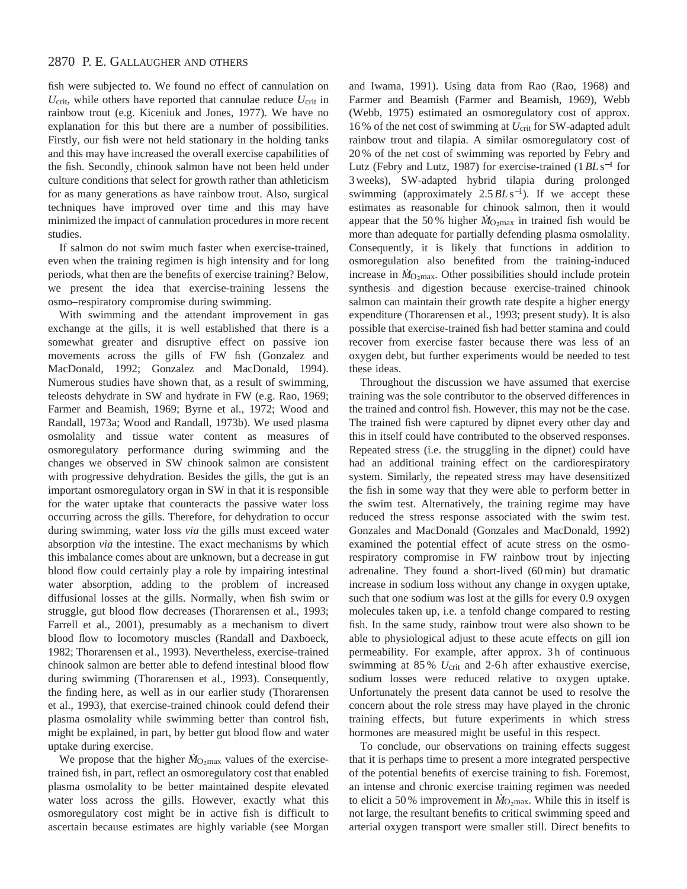fish were subjected to. We found no effect of cannulation on  $U_{\text{crit}}$ , while others have reported that cannulae reduce  $U_{\text{crit}}$  in rainbow trout (e.g. Kiceniuk and Jones, 1977). We have no explanation for this but there are a number of possibilities. Firstly, our fish were not held stationary in the holding tanks and this may have increased the overall exercise capabilities of the fish. Secondly, chinook salmon have not been held under culture conditions that select for growth rather than athleticism for as many generations as have rainbow trout. Also, surgical techniques have improved over time and this may have minimized the impact of cannulation procedures in more recent studies.

If salmon do not swim much faster when exercise-trained, even when the training regimen is high intensity and for long periods, what then are the benefits of exercise training? Below, we present the idea that exercise-training lessens the osmo–respiratory compromise during swimming.

With swimming and the attendant improvement in gas exchange at the gills, it is well established that there is a somewhat greater and disruptive effect on passive ion movements across the gills of FW fish (Gonzalez and MacDonald, 1992; Gonzalez and MacDonald, 1994). Numerous studies have shown that, as a result of swimming, teleosts dehydrate in SW and hydrate in FW (e.g. Rao, 1969; Farmer and Beamish, 1969; Byrne et al., 1972; Wood and Randall, 1973a; Wood and Randall, 1973b). We used plasma osmolality and tissue water content as measures of osmoregulatory performance during swimming and the changes we observed in SW chinook salmon are consistent with progressive dehydration. Besides the gills, the gut is an important osmoregulatory organ in SW in that it is responsible for the water uptake that counteracts the passive water loss occurring across the gills. Therefore, for dehydration to occur during swimming, water loss *via* the gills must exceed water absorption *via* the intestine. The exact mechanisms by which this imbalance comes about are unknown, but a decrease in gut blood flow could certainly play a role by impairing intestinal water absorption, adding to the problem of increased diffusional losses at the gills. Normally, when fish swim or struggle, gut blood flow decreases (Thorarensen et al., 1993; Farrell et al., 2001), presumably as a mechanism to divert blood flow to locomotory muscles (Randall and Daxboeck, 1982; Thorarensen et al., 1993). Nevertheless, exercise-trained chinook salmon are better able to defend intestinal blood flow during swimming (Thorarensen et al., 1993). Consequently, the finding here, as well as in our earlier study (Thorarensen et al., 1993), that exercise-trained chinook could defend their plasma osmolality while swimming better than control fish, might be explained, in part, by better gut blood flow and water uptake during exercise.

where the mass of the exercise-<br>We propose that the higher  $\dot{M}_{\text{O}_2\text{max}}$  values of the exercisetrained fish, in part, reflect an osmoregulatory cost that enabled plasma osmolality to be better maintained despite elevated water loss across the gills. However, exactly what this osmoregulatory cost might be in active fish is difficult to ascertain because estimates are highly variable (see Morgan

and Iwama, 1991). Using data from Rao (Rao, 1968) and Farmer and Beamish (Farmer and Beamish, 1969), Webb (Webb, 1975) estimated an osmoregulatory cost of approx. 16 % of the net cost of swimming at *U*crit for SW-adapted adult rainbow trout and tilapia. A similar osmoregulatory cost of 20 % of the net cost of swimming was reported by Febry and Lutz (Febry and Lutz, 1987) for exercise-trained (1*BL* s−<sup>1</sup> for 3 weeks), SW-adapted hybrid tilapia during prolonged swimming (approximately 2.5*BL* s<sup>−</sup>1). If we accept these estimates as reasonable for chinook salmon, then it would appear that the 50% higher  $\dot{M}_{\text{O}_2\text{max}}$  in trained fish would be more than adequate for partially defending plasma osmolality. Consequently, it is likely that functions in addition to osmoregulation also benefited from the training-induced . increase in  $\dot{M}_{\text{O}_2\text{max}}$ . Other possibilities should include protein synthesis and digestion because exercise-trained chinook salmon can maintain their growth rate despite a higher energy expenditure (Thorarensen et al., 1993; present study). It is also possible that exercise-trained fish had better stamina and could recover from exercise faster because there was less of an oxygen debt, but further experiments would be needed to test these ideas.

Throughout the discussion we have assumed that exercise training was the sole contributor to the observed differences in the trained and control fish. However, this may not be the case. The trained fish were captured by dipnet every other day and this in itself could have contributed to the observed responses. Repeated stress (i.e. the struggling in the dipnet) could have had an additional training effect on the cardiorespiratory system. Similarly, the repeated stress may have desensitized the fish in some way that they were able to perform better in the swim test. Alternatively, the training regime may have reduced the stress response associated with the swim test. Gonzales and MacDonald (Gonzales and MacDonald, 1992) examined the potential effect of acute stress on the osmorespiratory compromise in FW rainbow trout by injecting adrenaline. They found a short-lived (60 min) but dramatic increase in sodium loss without any change in oxygen uptake, such that one sodium was lost at the gills for every 0.9 oxygen molecules taken up, i.e. a tenfold change compared to resting fish. In the same study, rainbow trout were also shown to be able to physiological adjust to these acute effects on gill ion permeability. For example, after approx. 3 h of continuous swimming at 85% *U*<sub>crit</sub> and 2-6h after exhaustive exercise, sodium losses were reduced relative to oxygen uptake. Unfortunately the present data cannot be used to resolve the concern about the role stress may have played in the chronic training effects, but future experiments in which stress hormones are measured might be useful in this respect.

To conclude, our observations on training effects suggest that it is perhaps time to present a more integrated perspective of the potential benefits of exercise training to fish. Foremost, an intense and chronic exercise training regimen was needed . to elicit a 50% improvement in  $\dot{M}_{\text{O}_2\text{max}}$ . While this in itself is not large, the resultant benefits to critical swimming speed and arterial oxygen transport were smaller still. Direct benefits to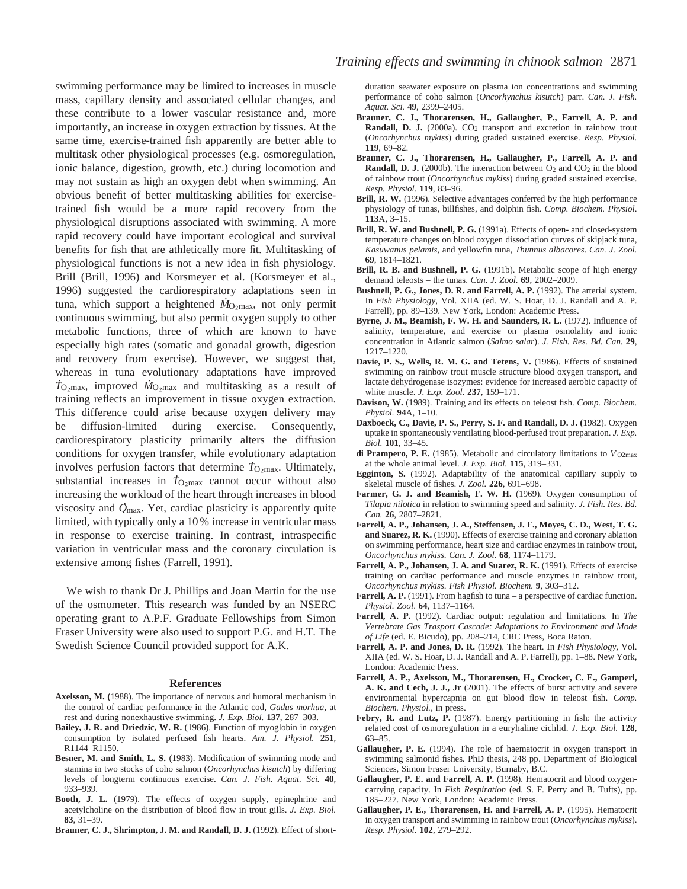swimming performance may be limited to increases in muscle mass, capillary density and associated cellular changes, and these contribute to a lower vascular resistance and, more importantly, an increase in oxygen extraction by tissues. At the same time, exercise-trained fish apparently are better able to multitask other physiological processes (e.g. osmoregulation, ionic balance, digestion, growth, etc.) during locomotion and may not sustain as high an oxygen debt when swimming. An obvious benefit of better multitasking abilities for exercisetrained fish would be a more rapid recovery from the physiological disruptions associated with swimming. A more rapid recovery could have important ecological and survival benefits for fish that are athletically more fit. Multitasking of physiological functions is not a new idea in fish physiology. Brill (Brill, 1996) and Korsmeyer et al. (Korsmeyer et al., 1996) suggested the cardiorespiratory adaptations seen in . tuna, which support a heightened  $\dot{M}_{\text{O}_2\text{max}}$ , not only permit continuous swimming, but also permit oxygen supply to other metabolic functions, three of which are known to have especially high rates (somatic and gonadal growth, digestion and recovery from exercise). However, we suggest that, whereas in tuna evolutionary adaptations have improved  $\dot{T}_{\text{O}_2\text{max}}$ , improved  $\dot{M}_{\text{O}_2\text{max}}$  and multitasking as a result of training reflects an improvement in tissue oxygen extraction. This difference could arise because oxygen delivery may be diffusion-limited during exercise. Consequently, cardiorespiratory plasticity primarily alters the diffusion conditions for oxygen transfer, while evolutionary adaptation . involves perfusion factors that determine  $T_{\text{O}_2\text{max}}$ . Ultimately, substantial increases in  $\dot{T}_{\text{O}_2\text{max}}$  cannot occur without also increasing the workload of the heart through increases in blood . viscosity and *Q* max. Yet, cardiac plasticity is apparently quite limited, with typically only a 10 % increase in ventricular mass in response to exercise training. In contrast, intraspecific variation in ventricular mass and the coronary circulation is extensive among fishes (Farrell, 1991).

We wish to thank Dr J. Phillips and Joan Martin for the use of the osmometer. This research was funded by an NSERC operating grant to A.P.F. Graduate Fellowships from Simon Fraser University were also used to support P.G. and H.T. The Swedish Science Council provided support for A.K.

#### **References**

- **Axelsson, M. (**1988). The importance of nervous and humoral mechanism in the control of cardiac performance in the Atlantic cod, *Gadus morhua*, at rest and during nonexhaustive swimming. *J. Exp. Biol.* **137**, 287–303.
- **Bailey, J. R. and Driedzic, W. R.** (1986). Function of myoglobin in oxygen consumption by isolated perfused fish hearts. *Am. J. Physiol.* **251**, R1144–R1150.
- **Besner, M. and Smith, L. S.** (1983). Modification of swimming mode and stamina in two stocks of coho salmon (*Oncorhynchus kisutch*) by differing levels of longterm continuous exercise. *Can. J. Fish. Aquat. Sci.* **40**, 933–939.
- **Booth, J. L.** (1979). The effects of oxygen supply, epinephrine and acetylcholine on the distribution of blood flow in trout gills. *J. Exp. Biol.* **83**, 31–39.
- Brauner, C. J., Shrimpton, J. M. and Randall, D. J. (1992). Effect of short-

duration seawater exposure on plasma ion concentrations and swimming performance of coho salmon (*Oncorhynchus kisutch*) parr. *Can. J. Fish. Aquat. Sci.* **49**, 2399–2405.

- **Brauner, C. J., Thorarensen, H., Gallaugher, P., Farrell, A. P. and Randall, D. J.** (2000a). CO<sub>2</sub> transport and excretion in rainbow trout (*Oncorhynchus mykiss*) during graded sustained exercise. *Resp. Physiol.* **119**, 69–82.
- **Brauner, C. J., Thorarensen, H., Gallaugher, P., Farrell, A. P. and Randall, D. J.** (2000b). The interaction between O<sub>2</sub> and CO<sub>2</sub> in the blood of rainbow trout (*Oncorhynchus mykiss*) during graded sustained exercise. *Resp. Physiol.* **119**, 83–96.
- Brill, R. W. (1996). Selective advantages conferred by the high performance physiology of tunas, billfishes, and dolphin fish. *Comp. Biochem. Physiol*. **113**A, 3–15.
- **Brill, R. W. and Bushnell, P. G.** (1991a). Effects of open- and closed-system temperature changes on blood oxygen dissociation curves of skipjack tuna, *Kasuwanus pelamis*, and yellowfin tuna, *Thunnus albacores*. *Can. J. Zool.* **69**, 1814–1821.
- **Brill, R. B. and Bushnell, P. G.** (1991b). Metabolic scope of high energy demand teleosts – the tunas. *Can. J. Zool.* **69**, 2002–2009.
- Bushnell, P. G., Jones, D. R. and Farrell, A. P. (1992). The arterial system. In *Fish Physiology*, Vol. XIIA (ed. W. S. Hoar, D. J. Randall and A. P. Farrell), pp. 89–139. New York, London: Academic Press.
- Byrne, J. M., Beamish, F. W. H. and Saunders, R. L. (1972). Influence of salinity, temperature, and exercise on plasma osmolality and ionic concentration in Atlantic salmon (*Salmo salar*). *J. Fish. Res. Bd. Can.* **29**, 1217–1220.
- Davie, P. S., Wells, R. M. G. and Tetens, V. (1986). Effects of sustained swimming on rainbow trout muscle structure blood oxygen transport, and lactate dehydrogenase isozymes: evidence for increased aerobic capacity of white muscle. *J. Exp. Zool.* **237**, 159–171.
- **Davison, W.** (1989). Training and its effects on teleost fish. *Comp. Biochem. Physiol.* **94**A, 1–10.
- **Daxboeck, C., Davie, P. S., Perry, S. F. and Randall, D. J. (**1982). Oxygen uptake in spontaneously ventilating blood-perfused trout preparation. *J. Exp. Biol.* **101**, 33–45.
- **di Prampero, P. E.** (1985). Metabolic and circulatory limitations to *V*<sup>⋅</sup> O2max at the whole animal level. *J. Exp. Biol.* **115**, 319–331.
- **Egginton, S.** (1992). Adaptability of the anatomical capillary supply to skeletal muscle of fishes. *J. Zool.* **226**, 691–698.
- Farmer, G. J. and Beamish, F. W. H. (1969). Oxygen consumption of *Tilapia nilotica* in relation to swimming speed and salinity. *J. Fish. Res. Bd. Can.* **26**, 2807–2821.
- **Farrell, A. P., Johansen, J. A., Steffensen, J. F., Moyes, C. D., West, T. G. and Suarez, R. K.** (1990). Effects of exercise training and coronary ablation on swimming performance, heart size and cardiac enzymes in rainbow trout, *Oncorhynchus mykiss*. *Can. J. Zool.* **68**, 1174–1179.
- Farrell, A. P., Johansen, J. A. and Suarez, R. K. (1991). Effects of exercise training on cardiac performance and muscle enzymes in rainbow trout, *Oncorhynchus mykiss*. *Fish Physiol. Biochem.* **9**, 303–312.
- **Farrell, A. P.** (1991). From hagfish to tuna a perspective of cardiac function. *Physiol. Zool*. **64**, 1137–1164.
- **Farrell, A. P.** (1992). Cardiac output: regulation and limitations. In *The Vertebrate Gas Trasport Cascade: Adaptations to Environment and Mode of Life* (ed. E. Bicudo), pp. 208–214, CRC Press, Boca Raton.
- **Farrell, A. P. and Jones, D. R.** (1992). The heart. In *Fish Physiology,* Vol. XIIA (ed. W. S. Hoar, D. J. Randall and A. P. Farrell), pp. 1–88. New York, London: Academic Press.
- **Farrell, A. P., Axelsson, M., Thorarensen, H., Crocker, C. E., Gamperl, A. K. and Cech, J. J., Jr** (2001). The effects of burst activity and severe environmental hypercapnia on gut blood flow in teleost fish. *Comp. Biochem. Physiol.*, in press.
- Febry, R. and Lutz, P. (1987). Energy partitioning in fish: the activity related cost of osmoregulation in a euryhaline cichlid. *J. Exp. Biol.* **128**, 63–85.
- **Gallaugher, P. E.** (1994). The role of haematocrit in oxygen transport in swimming salmonid fishes*.* PhD thesis, 248 pp. Department of Biological Sciences, Simon Fraser University, Burnaby, B.C.
- Gallaugher, P. E. and Farrell, A. P. (1998). Hematocrit and blood oxygencarrying capacity. In *Fish Respiration* (ed. S. F. Perry and B. Tufts), pp. 185–227. New York, London: Academic Press.
- Gallaugher, P. E., Thorarensen, H. and Farrell, A. P. (1995). Hematocrit in oxygen transport and swimming in rainbow trout (*Oncorhynchus mykiss*). *Resp. Physiol.* **102**, 279–292.